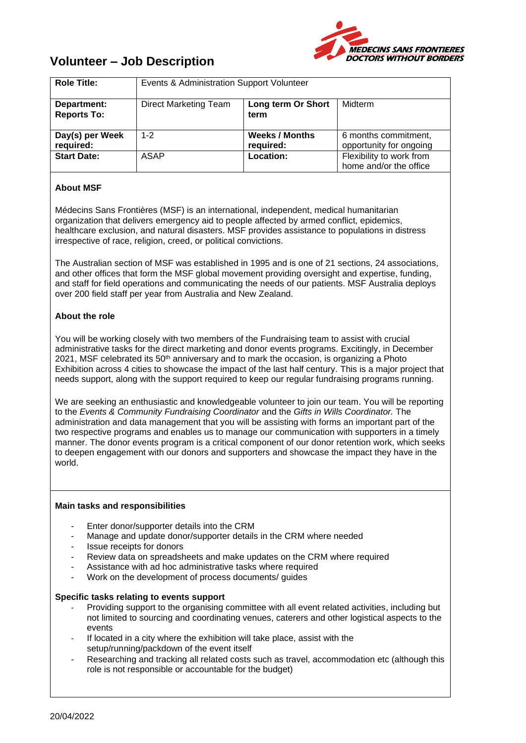

# **Volunteer – Job Description**

| <b>Role Title:</b>                | Events & Administration Support Volunteer |                                    |                                                    |
|-----------------------------------|-------------------------------------------|------------------------------------|----------------------------------------------------|
| Department:<br><b>Reports To:</b> | <b>Direct Marketing Team</b>              | Long term Or Short<br>term         | Midterm                                            |
| Day(s) per Week<br>required:      | $1 - 2$                                   | <b>Weeks / Months</b><br>required: | 6 months commitment,<br>opportunity for ongoing    |
| <b>Start Date:</b>                | ASAP                                      | Location:                          | Flexibility to work from<br>home and/or the office |

## **About MSF**

Médecins Sans Frontières (MSF) is an international, independent, medical humanitarian organization that delivers emergency aid to people affected by armed conflict, epidemics, healthcare exclusion, and natural disasters. MSF provides assistance to populations in distress irrespective of race, religion, creed, or political convictions.

The Australian section of MSF was established in 1995 and is one of 21 sections, 24 associations, and other offices that form the MSF global movement providing oversight and expertise, funding, and staff for field operations and communicating the needs of our patients. MSF Australia deploys over 200 field staff per year from Australia and New Zealand.

## **About the role**

You will be working closely with two members of the Fundraising team to assist with crucial administrative tasks for the direct marketing and donor events programs. Excitingly, in December  $2021$ , MSF celebrated its 50<sup>th</sup> anniversary and to mark the occasion, is organizing a Photo Exhibition across 4 cities to showcase the impact of the last half century. This is a major project that needs support, along with the support required to keep our regular fundraising programs running.

We are seeking an enthusiastic and knowledgeable volunteer to join our team. You will be reporting to the *Events & Community Fundraising Coordinator* and the *Gifts in Wills Coordinator.* The administration and data management that you will be assisting with forms an important part of the two respective programs and enables us to manage our communication with supporters in a timely manner. The donor events program is a critical component of our donor retention work, which seeks to deepen engagement with our donors and supporters and showcase the impact they have in the world.

## **Main tasks and responsibilities**

- Enter donor/supporter details into the CRM
- Manage and update donor/supporter details in the CRM where needed
- Issue receipts for donors
- Review data on spreadsheets and make updates on the CRM where required
- Assistance with ad hoc administrative tasks where required
- Work on the development of process documents/ quides

#### **Specific tasks relating to events support**

- Providing support to the organising committee with all event related activities, including but not limited to sourcing and coordinating venues, caterers and other logistical aspects to the events
- If located in a city where the exhibition will take place, assist with the setup/running/packdown of the event itself
- Researching and tracking all related costs such as travel, accommodation etc (although this role is not responsible or accountable for the budget)